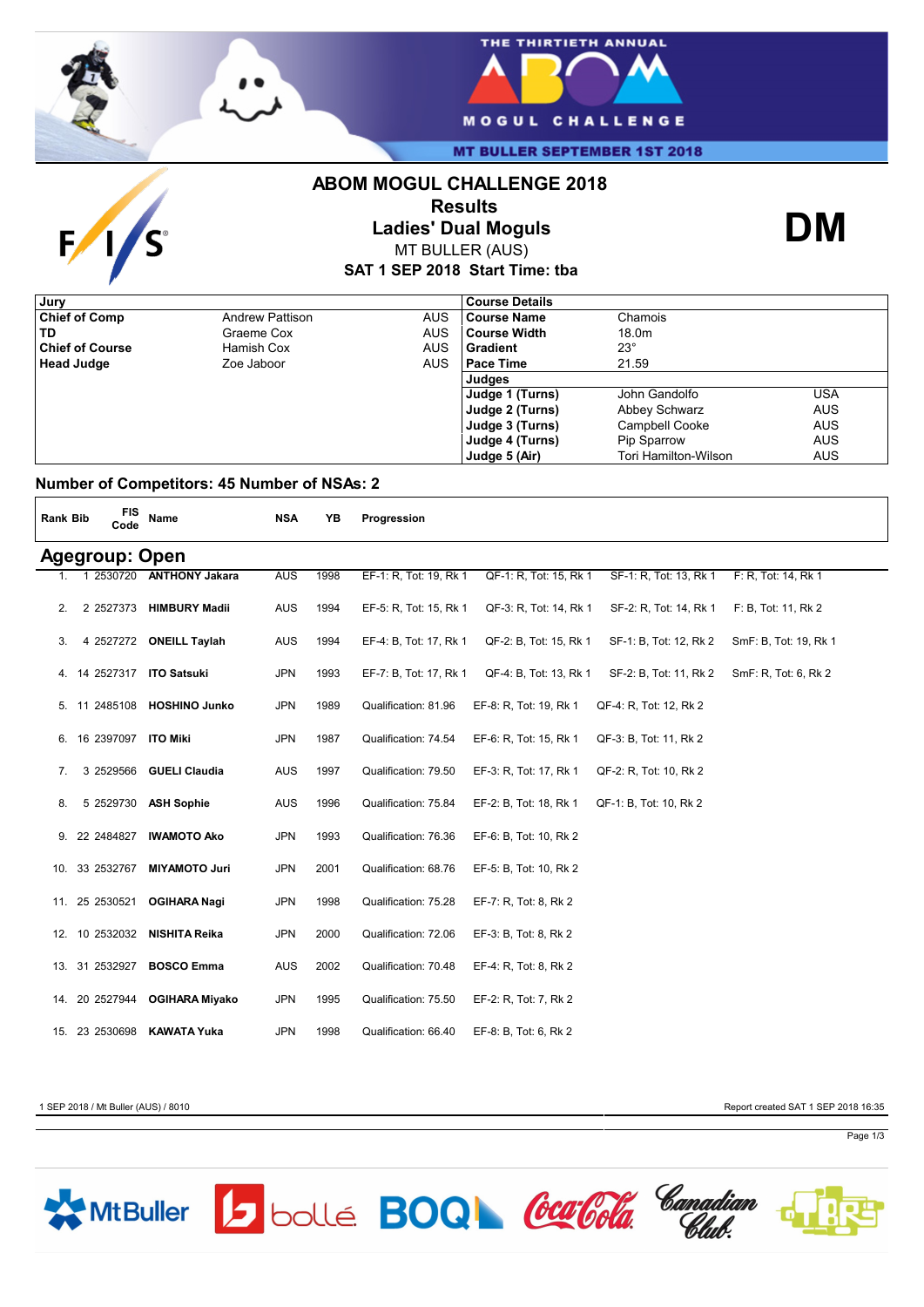

 $\mathbf{F}$ 

**S** 



**MT BULLER SEPTEMBER 1ST 2018** 

## **ABOM MOGUL CHALLENGE 2018**



**Ladies' Dual Moguls** MT BULLER (AUS)



**SAT 1 SEP 2018 Start Time: tba**

|                        |            | <b>Course Details</b> |                      |            |
|------------------------|------------|-----------------------|----------------------|------------|
| <b>Andrew Pattison</b> | AUS.       | <b>Course Name</b>    | Chamois              |            |
| Graeme Cox             | AUS        | <b>Course Width</b>   | 18.0m                |            |
| Hamish Cox             | AUS        | Gradient              | $23^{\circ}$         |            |
| Zoe Jaboor             | <b>AUS</b> | <b>Pace Time</b>      | 21.59                |            |
|                        |            | Judges                |                      |            |
|                        |            | Judge 1 (Turns)       | John Gandolfo        | USA        |
|                        |            | Judge 2 (Turns)       | Abbey Schwarz        | <b>AUS</b> |
|                        |            | Judge 3 (Turns)       | Campbell Cooke       | <b>AUS</b> |
|                        |            | Judge 4 (Turns)       | Pip Sparrow          | <b>AUS</b> |
|                        |            | Judge 5 (Air)         | Tori Hamilton-Wilson | <b>AUS</b> |
|                        |            |                       |                      |            |

### **Number of Competitors: 45 Number of NSAs: 2**

| <b>Rank Bib</b>       |  | <b>FIS</b><br>Code | Name                        | <b>NSA</b> | YB   | Progression            |                        |                        |                       |
|-----------------------|--|--------------------|-----------------------------|------------|------|------------------------|------------------------|------------------------|-----------------------|
| <b>Agegroup: Open</b> |  |                    |                             |            |      |                        |                        |                        |                       |
| 1.                    |  |                    | 1 2530720 ANTHONY Jakara    | <b>AUS</b> | 1998 | EF-1: R, Tot: 19, Rk 1 | QF-1: R, Tot: 15, Rk 1 | SF-1: R, Tot: 13, Rk 1 | F: R, Tot: 14, Rk 1   |
| 2.                    |  | 2 2527373          | <b>HIMBURY Madii</b>        | <b>AUS</b> | 1994 | EF-5: R, Tot: 15, Rk 1 | QF-3: R, Tot: 14, Rk 1 | SF-2: R, Tot: 14, Rk 1 | F: B, Tot: 11, Rk 2   |
| 3.                    |  |                    | 4 2527272 ONEILL Taylah     | <b>AUS</b> | 1994 | EF-4: B, Tot: 17, Rk 1 | QF-2: B, Tot: 15, Rk 1 | SF-1: B, Tot: 12, Rk 2 | SmF: B, Tot: 19, Rk 1 |
|                       |  |                    | 4. 14 2527317 ITO Satsuki   | <b>JPN</b> | 1993 | EF-7: B, Tot: 17, Rk 1 | QF-4: B, Tot: 13, Rk 1 | SF-2: B, Tot: 11, Rk 2 | SmF: R, Tot: 6, Rk 2  |
|                       |  |                    | 5. 11 2485108 HOSHINO Junko | <b>JPN</b> | 1989 | Qualification: 81.96   | EF-8: R, Tot: 19, Rk 1 | QF-4: R, Tot: 12, Rk 2 |                       |
| 6.                    |  |                    | 16 2397097 ITO Miki         | <b>JPN</b> | 1987 | Qualification: 74.54   | EF-6: R, Tot: 15, Rk 1 | QF-3: B, Tot: 11, Rk 2 |                       |
| 7.                    |  |                    | 3 2529566 GUELI Claudia     | AUS        | 1997 | Qualification: 79.50   | EF-3: R, Tot: 17, Rk 1 | QF-2: R, Tot: 10, Rk 2 |                       |
| 8.                    |  |                    | 5 2529730 ASH Sophie        | <b>AUS</b> | 1996 | Qualification: 75.84   | EF-2: B, Tot: 18, Rk 1 | QF-1: B, Tot: 10, Rk 2 |                       |
|                       |  | 9. 22 2484827      | <b>IWAMOTO Ako</b>          | <b>JPN</b> | 1993 | Qualification: 76.36   | EF-6: B, Tot: 10, Rk 2 |                        |                       |
|                       |  | 10. 33 2532767     | <b>MIYAMOTO Juri</b>        | <b>JPN</b> | 2001 | Qualification: 68.76   | EF-5: B, Tot: 10, Rk 2 |                        |                       |
|                       |  | 11. 25 2530521     | <b>OGIHARA Nagi</b>         | <b>JPN</b> | 1998 | Qualification: 75.28   | EF-7: R, Tot: 8, Rk 2  |                        |                       |
|                       |  | 12. 10 2532032     | NISHITA Reika               | <b>JPN</b> | 2000 | Qualification: 72.06   | EF-3: B, Tot: 8, Rk 2  |                        |                       |
|                       |  | 13. 31 2532927     | <b>BOSCO Emma</b>           | AUS        | 2002 | Qualification: 70.48   | EF-4: R, Tot: 8, Rk 2  |                        |                       |
|                       |  | 14. 20 2527944     | <b>OGIHARA Miyako</b>       | <b>JPN</b> | 1995 | Qualification: 75.50   | EF-2: R, Tot: 7, Rk 2  |                        |                       |
|                       |  | 15. 23 2530698     | <b>KAWATA Yuka</b>          | <b>JPN</b> | 1998 | Qualification: 66.40   | EF-8: B, Tot: 6, Rk 2  |                        |                       |

1 SEP 2018 / Mt Buller (AUS) / 8010 Report created SAT 1 SEP 2018 16:35

Page 1/3

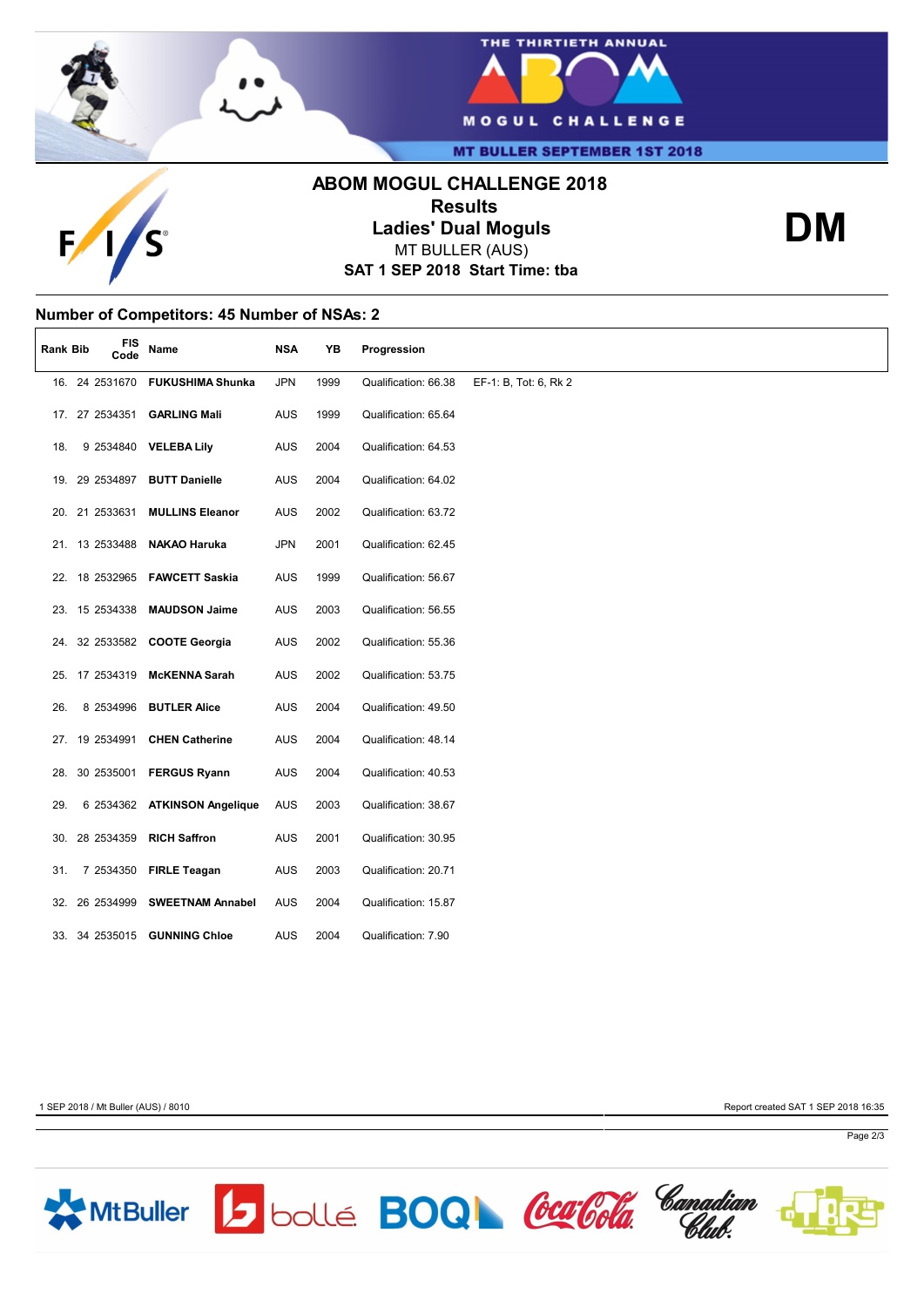



**MT BULLER SEPTEMBER 1ST 2018** 

# **ABOM MOGUL CHALLENGE 2018 Results**



**Ladies' Dual Moguls** MT BULLER (AUS)

**SAT 1 SEP 2018 Start Time: tba**

**Number of Competitors: 45 Number of NSAs: 2**

| <b>Rank Bib</b> | <b>FIS</b><br>Code | Name                            | <b>NSA</b> | YB   | Progression          |                       |
|-----------------|--------------------|---------------------------------|------------|------|----------------------|-----------------------|
|                 |                    | 16. 24 2531670 FUKUSHIMA Shunka | <b>JPN</b> | 1999 | Qualification: 66.38 | EF-1: B, Tot: 6, Rk 2 |
|                 | 17. 27 2534351     | <b>GARLING Mali</b>             | AUS        | 1999 | Qualification: 65.64 |                       |
| 18.             |                    | 9 2534840 VELEBA Lily           | AUS        | 2004 | Qualification: 64.53 |                       |
|                 | 19. 29 2534897     | <b>BUTT Danielle</b>            | AUS        | 2004 | Qualification: 64.02 |                       |
|                 | 20. 21 2533631     | <b>MULLINS Eleanor</b>          | AUS        | 2002 | Qualification: 63.72 |                       |
|                 | 21. 13 2533488     | <b>NAKAO Haruka</b>             | <b>JPN</b> | 2001 | Qualification: 62.45 |                       |
|                 |                    | 22. 18 2532965 FAWCETT Saskia   | AUS        | 1999 | Qualification: 56.67 |                       |
|                 | 23. 15 2534338     | <b>MAUDSON Jaime</b>            | AUS        | 2003 | Qualification: 56.55 |                       |
|                 |                    | 24. 32 2533582 COOTE Georgia    | AUS        | 2002 | Qualification: 55.36 |                       |
|                 | 25. 17 2534319     | <b>McKENNA Sarah</b>            | AUS        | 2002 | Qualification: 53.75 |                       |
| 26.             | 8 2534996          | <b>BUTLER Alice</b>             | AUS        | 2004 | Qualification: 49.50 |                       |
|                 | 27. 19 2534991     | <b>CHEN Catherine</b>           | <b>AUS</b> | 2004 | Qualification: 48.14 |                       |
|                 |                    | 28. 30 2535001 FERGUS Ryann     | AUS        | 2004 | Qualification: 40.53 |                       |
| 29.             |                    | 6 2534362 ATKINSON Angelique    | <b>AUS</b> | 2003 | Qualification: 38.67 |                       |
|                 | 30. 28 2534359     | <b>RICH Saffron</b>             | <b>AUS</b> | 2001 | Qualification: 30.95 |                       |
| 31.             |                    | 7 2534350 FIRLE Teagan          | AUS        | 2003 | Qualification: 20.71 |                       |
|                 | 32. 26 2534999     | <b>SWEETNAM Annabel</b>         | <b>AUS</b> | 2004 | Qualification: 15.87 |                       |
|                 |                    | 33. 34 2535015 GUNNING Chloe    | AUS        | 2004 | Qualification: 7.90  |                       |

1 SEP 2018 / Mt Buller (AUS) / 8010 Report created SAT 1 SEP 2018 16:35

**DM**